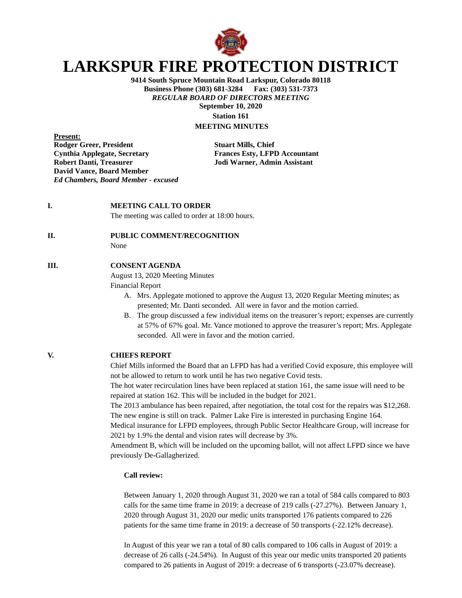

# **LARKSPUR FIRE PROTECTION DISTRICT**

**9414 South Spruce Mountain Road Larkspur, Colorado 80118 Business Phone (303) 681-3284 Fax: (303) 531-7373** *REGULAR BOARD OF DIRECTORS MEETING* **September 10, 2020 Station 161**

**MEETING MINUTES**

**Present: Rodger Greer, President Stuart Mills, Chief Cynthia Applegate, Secretary Frances Esty, LFPD Accountant Robert Danti, Treasurer Jodi Warner, Admin Assistant David Vance, Board Member** *Ed Chambers, Board Member - excused*

#### **I. MEETING CALL TO ORDER**

The meeting was called to order at 18:00 hours.

### **II. PUBLIC COMMENT/RECOGNITION**

None

### **III. CONSENT AGENDA**

August 13, 2020 Meeting Minutes

Financial Report

- A. Mrs. Applegate motioned to approve the August 13, 2020 Regular Meeting minutes; as presented; Mr. Danti seconded. All were in favor and the motion carried.
- B. The group discussed a few individual items on the treasurer's report; expenses are currently at 57% of 67% goal. Mr. Vance motioned to approve the treasurer's report; Mrs. Applegate seconded. All were in favor and the motion carried.

**V. CHIEFS REPORT**

Chief Mills informed the Board that an LFPD has had a verified Covid exposure, this employee will not be allowed to return to work until he has two negative Covid tests.

The hot water recirculation lines have been replaced at station 161, the same issue will need to be repaired at station 162. This will be included in the budget for 2021.

The 2013 ambulance has been repaired, after negotiation, the total cost for the repairs was \$12,268. The new engine is still on track. Palmer Lake Fire is interested in purchasing Engine 164.

Medical insurance for LFPD employees, through Public Sector Healthcare Group, will increase for 2021 by 1.9% the dental and vision rates will decrease by 3%.

Amendment B, which will be included on the upcoming ballot, will not affect LFPD since we have previously De-Gallagherized.

## **Call review:**

Between January 1, 2020 through August 31, 2020 we ran a total of 584 calls compared to 803 calls for the same time frame in 2019: a decrease of 219 calls (-27.27%). Between January 1, 2020 through August 31, 2020 our medic units transported 176 patients compared to 226 patients for the same time frame in 2019: a decrease of 50 transports (-22.12% decrease).

In August of this year we ran a total of 80 calls compared to 106 calls in August of 2019: a decrease of 26 calls (-24.54%). In August of this year our medic units transported 20 patients compared to 26 patients in August of 2019: a decrease of 6 transports (-23.07% decrease).